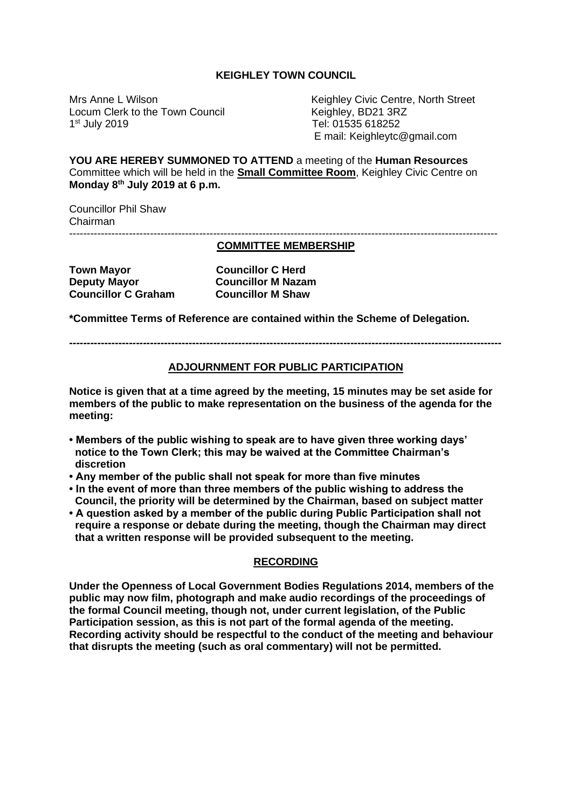#### **KEIGHLEY TOWN COUNCIL**

Locum Clerk to the Town Council **Keighley, BD21 3RZ**  $1<sup>st</sup>$  July 2019

Mrs Anne L Wilson Keighley Civic Centre, North Street Tel: 01535 618252 E mail: Keighleytc@gmail.com

**YOU ARE HEREBY SUMMONED TO ATTEND** a meeting of the **Human Resources** Committee which will be held in the **Small Committee Room**, Keighley Civic Centre on **Monday 8th July 2019 at 6 p.m.**

Councillor Phil Shaw Chairman --------------------------------------------------------------------------------------------------------------------------

# **COMMITTEE MEMBERSHIP**

**Town Mayor Councillor C Herd Councillor C Herd Deputy Mayor Councillor M Nazam Councillor C Graham Councillor M Shaw** 

**\*Committee Terms of Reference are contained within the Scheme of Delegation.**

**---------------------------------------------------------------------------------------------------------------------------**

### **ADJOURNMENT FOR PUBLIC PARTICIPATION**

**Notice is given that at a time agreed by the meeting, 15 minutes may be set aside for members of the public to make representation on the business of the agenda for the meeting:**

- **Members of the public wishing to speak are to have given three working days' notice to the Town Clerk; this may be waived at the Committee Chairman's discretion**
- **Any member of the public shall not speak for more than five minutes**
- **In the event of more than three members of the public wishing to address the Council, the priority will be determined by the Chairman, based on subject matter**
- **A question asked by a member of the public during Public Participation shall not require a response or debate during the meeting, though the Chairman may direct that a written response will be provided subsequent to the meeting.**

### **RECORDING**

**Under the Openness of Local Government Bodies Regulations 2014, members of the public may now film, photograph and make audio recordings of the proceedings of the formal Council meeting, though not, under current legislation, of the Public Participation session, as this is not part of the formal agenda of the meeting. Recording activity should be respectful to the conduct of the meeting and behaviour that disrupts the meeting (such as oral commentary) will not be permitted.**